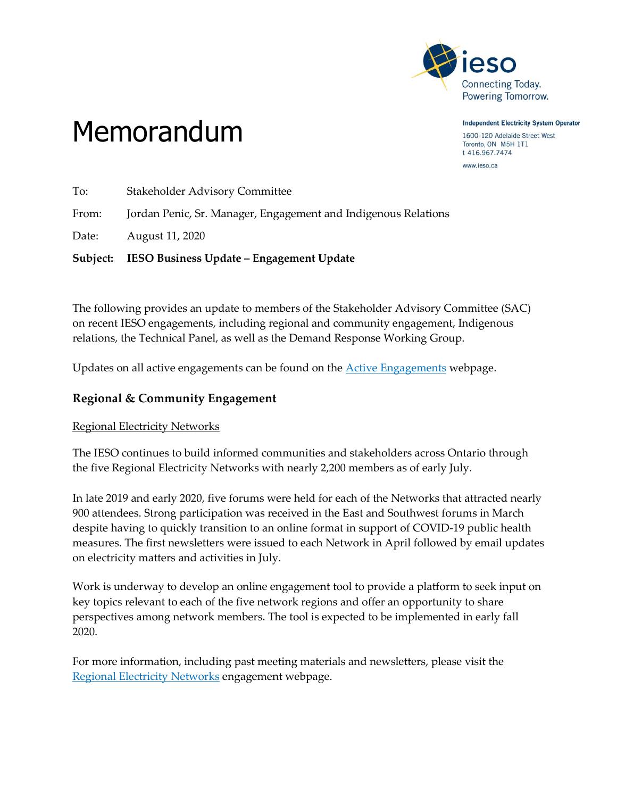

**Independent Electricity System Operator** 1600-120 Adelaide Street West Toronto, ON M5H 1T1 t 416.967.7474

www.ieso.ca

# Memorandum

To: Stakeholder Advisory Committee From: Jordan Penic, Sr. Manager, Engagement and Indigenous Relations Date: August 11, 2020 **Subject: IESO Business Update – Engagement Update**

The following provides an update to members of the Stakeholder Advisory Committee (SAC) on recent IESO engagements, including regional and community engagement, Indigenous relations, the Technical Panel, as well as the Demand Response Working Group.

Updates on all active engagements can be found on the [Active Engagements](http://www.ieso.ca/en/sector-participants/engagement-initiatives/engagements/engagements-status) webpage.

## **Regional & Community Engagement**

## Regional Electricity Networks

The IESO continues to build informed communities and stakeholders across Ontario through the five Regional Electricity Networks with nearly 2,200 members as of early July.

In late 2019 and early 2020, five forums were held for each of the Networks that attracted nearly 900 attendees. Strong participation was received in the East and Southwest forums in March despite having to quickly transition to an online format in support of COVID-19 public health measures. The first newsletters were issued to each Network in April followed by email updates on electricity matters and activities in July.

Work is underway to develop an online engagement tool to provide a platform to seek input on key topics relevant to each of the five network regions and offer an opportunity to share perspectives among network members. The tool is expected to be implemented in early fall 2020.

For more information, including past meeting materials and newsletters, please visit the [Regional Electricity Networks](http://www.ieso.ca/en/Get-Involved/Regional-Planning/Electricity-Networks/Overview) engagement webpage.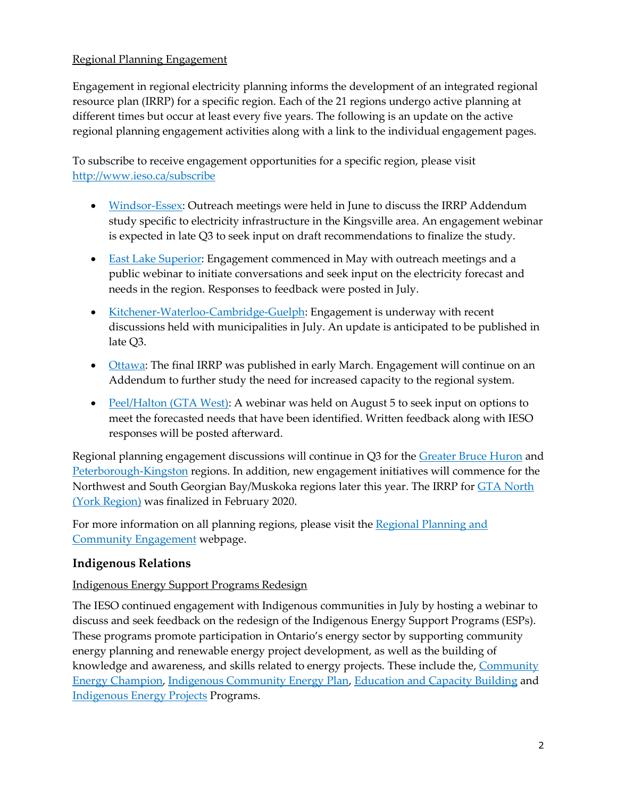#### Regional Planning Engagement

Engagement in regional electricity planning informs the development of an integrated regional resource plan (IRRP) for a specific region. Each of the 21 regions undergo active planning at different times but occur at least every five years. The following is an update on the active regional planning engagement activities along with a link to the individual engagement pages.

To subscribe to receive engagement opportunities for a specific region, please visit <http://www.ieso.ca/subscribe>

- [Windsor-Essex:](http://ieso.ca/Sector-Participants/Engagement-Initiatives/Engagements/Integrated-Regional-Resource-Plan-Windsor-Essex) Outreach meetings were held in June to discuss the IRRP Addendum study specific to electricity infrastructure in the Kingsville area. An engagement webinar is expected in late Q3 to seek input on draft recommendations to finalize the study.
- East Lake [Superior:](http://ieso.ca/Sector-Participants/Engagement-Initiatives/Engagements/Regional-Electricity-Planning-East-Lake-Superior) Engagement commenced in May with outreach meetings and a public webinar to initiate conversations and seek input on the electricity forecast and needs in the region. Responses to feedback were posted in July.
- [Kitchener-Waterloo-Cambridge-Guelph:](http://www.ieso.ca/Sector-Participants/Engagement-Initiatives/Engagements/Integrated-Regional-Resource-Plan-Kitchener-Waterloo-Cambridge-Guelph) Engagement is underway with recent discussions held with municipalities in July. An update is anticipated to be published in late Q3.
- [Ottawa:](http://ieso.ca/Sector-Participants/Engagement-Initiatives/Engagements/Integrated-Regional-Resource-Plan-Ottawa-Area-Sub-Region) The final IRRP was published in early March. Engagement will continue on an Addendum to further study the need for increased capacity to the regional system.
- [Peel/Halton](http://ieso.ca/Sector-Participants/Engagement-Initiatives/Engagements/Regional-Planning-Peel-Halton-Region) (GTA West): A webinar was held on August 5 to seek input on options to meet the forecasted needs that have been identified. Written feedback along with IESO responses will be posted afterward.

Regional planning engagement discussions will continue in Q3 for the [Greater](http://ieso.ca/Sector-Participants/Engagement-Initiatives/Engagements/Regional-Planning-Greater-Bruce-Huron) Bruce Huron and [Peterborough-Kingston](http://ieso.ca/Sector-Participants/Engagement-Initiatives/Engagements/Regional-Planning-Peterborough-to-Kingston) regions. In addition, new engagement initiatives will commence for the [North](http://ieso.ca/Get-Involved/Regional-Planning/GTA-and-Central-Ontario/GTA-North)west and South Georgian Bay/Muskoka regions later this year. The IRRP for **GTA North** (York [Region\)](http://ieso.ca/Get-Involved/Regional-Planning/GTA-and-Central-Ontario/GTA-North) was finalized in February 2020.

For more information on all planning regions, please visit the Regional [Planning](http://ieso.ca/Get-Involved/Regional-Planning) and Community [Engagement](http://ieso.ca/Get-Involved/Regional-Planning) webpage.

## **Indigenous Relations**

#### Indigenous Energy Support Programs Redesign

The IESO continued engagement with Indigenous communities in July by hosting a webinar to discuss and seek feedback on the redesign of the Indigenous Energy Support Programs (ESPs). These programs promote participation in Ontario's energy sector by supporting community energy planning and renewable energy project development, as well as the building of knowledge and awareness, and skills related to energy projects. These include the, [Community](http://www.ieso.ca/Get-Involved/Funding-Programs/Community-Energy-Champion-Program)  [Energy Champion,](http://www.ieso.ca/Get-Involved/Funding-Programs/Community-Energy-Champion-Program) [Indigenous Community Energy Plan,](http://www.ieso.ca/Get-Involved/Funding-Programs/Indigenous-Community-Energy-Plan-Program) [Education and Capacity Building](http://www.ieso.ca/Get-Involved/Funding-Programs/Education-and-Capacity-Building-Program) and [Indigenous Energy Projects](http://www.ieso.ca/Get-Involved/Funding-Programs/Indigenous-Energy-Projects-Program) Programs.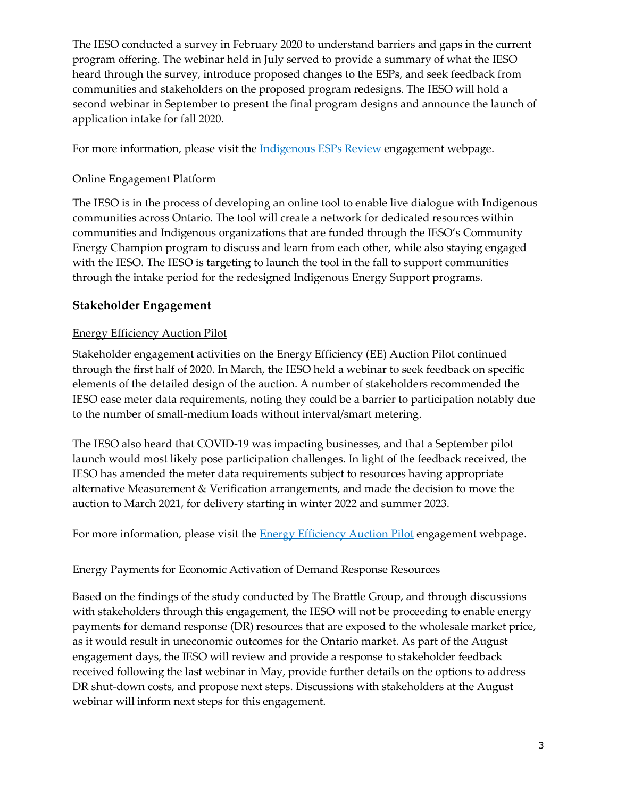The IESO conducted a survey in February 2020 to understand barriers and gaps in the current program offering. The webinar held in July served to provide a summary of what the IESO heard through the survey, introduce proposed changes to the ESPs, and seek feedback from communities and stakeholders on the proposed program redesigns. The IESO will hold a second webinar in September to present the final program designs and announce the launch of application intake for fall 2020.

For more information, please visit the **Indigenous ESPs Review** engagement webpage.

#### Online Engagement Platform

The IESO is in the process of developing an online tool to enable live dialogue with Indigenous communities across Ontario. The tool will create a network for dedicated resources within communities and Indigenous organizations that are funded through the IESO's Community Energy Champion program to discuss and learn from each other, while also staying engaged with the IESO. The IESO is targeting to launch the tool in the fall to support communities through the intake period for the redesigned Indigenous Energy Support programs.

## **Stakeholder Engagement**

### Energy Efficiency Auction Pilot

Stakeholder engagement activities on the Energy Efficiency (EE) Auction Pilot continued through the first half of 2020. In March, the IESO held a webinar to seek feedback on specific elements of the detailed design of the auction. A number of stakeholders recommended the IESO ease meter data requirements, noting they could be a barrier to participation notably due to the number of small-medium loads without interval/smart metering.

The IESO also heard that COVID-19 was impacting businesses, and that a September pilot launch would most likely pose participation challenges. In light of the feedback received, the IESO has amended the meter data requirements subject to resources having appropriate alternative Measurement & Verification arrangements, and made the decision to move the auction to March 2021, for delivery starting in winter 2022 and summer 2023.

For more information, please visit the **Energy Efficiency Auction Pilot** engagement webpage.

#### [Energy Payments for Economic Activation of Demand Response Resources](http://ieso.ca/Sector-Participants/Engagement-Initiatives/Engagements/Energy-Payments-for-Economic-Activation-of-DR-Resources)

Based on the findings of the study conducted by The Brattle Group, and through discussions with stakeholders through this engagement, the IESO will not be proceeding to enable energy payments for demand response (DR) resources that are exposed to the wholesale market price, as it would result in uneconomic outcomes for the Ontario market. As part of the August engagement days, the IESO will review and provide a response to stakeholder feedback received following the last webinar in May, provide further details on the options to address DR shut-down costs, and propose next steps. Discussions with stakeholders at the August webinar will inform next steps for this engagement.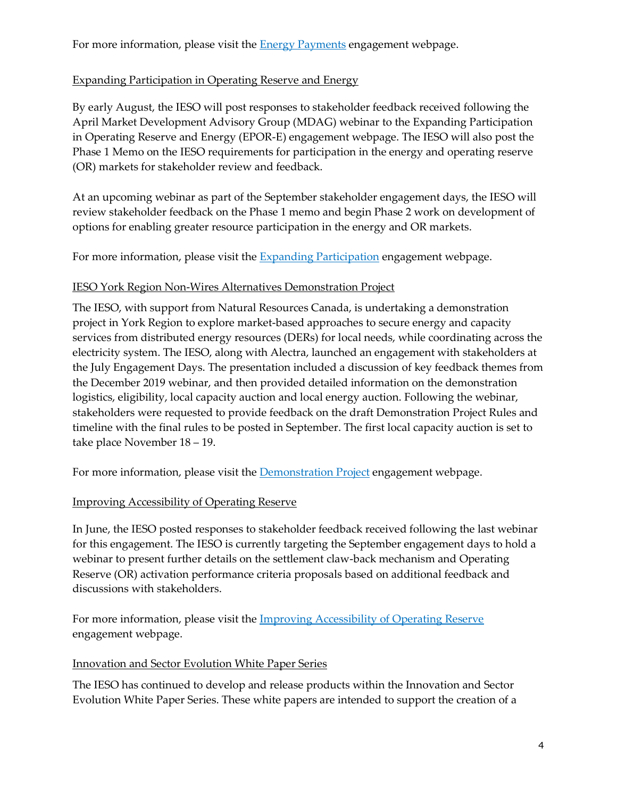For more information, please visit the **Energy Payments** engagement webpage.

## [Expanding Participation in Operating Reserve and Energy](http://ieso.ca/Sector-Participants/Engagement-Initiatives/Engagements/Expanding-Participation-in-Operating-Reserve-and-Energy)

By early August, the IESO will post responses to stakeholder feedback received following the April Market Development Advisory Group (MDAG) webinar to the Expanding Participation in Operating Reserve and Energy (EPOR-E) engagement webpage. The IESO will also post the Phase 1 Memo on the IESO requirements for participation in the energy and operating reserve (OR) markets for stakeholder review and feedback.

At an upcoming webinar as part of the September stakeholder engagement days, the IESO will review stakeholder feedback on the Phase 1 memo and begin Phase 2 work on development of options for enabling greater resource participation in the energy and OR markets.

For more information, please visit the **Expanding Participation** engagement webpage.

### IESO York Region Non-Wires Alternatives Demonstration Project

The IESO, with support from Natural Resources Canada, is undertaking a demonstration project in York Region to explore market-based approaches to secure energy and capacity services from distributed energy resources (DERs) for local needs, while coordinating across the electricity system. The IESO, along with Alectra, launched an engagement with stakeholders at the July Engagement Days. The presentation included a discussion of key feedback themes from the December 2019 webinar, and then provided detailed information on the demonstration logistics, eligibility, local capacity auction and local energy auction. Following the webinar, stakeholders were requested to provide feedback on the draft Demonstration Project Rules and timeline with the final rules to be posted in September. The first local capacity auction is set to take place November 18 – 19.

For more information, please visit the **Demonstration Project** engagement webpage.

## [Improving Accessibility of Operating Reserve](http://ieso.ca/Sector-Participants/Engagement-Initiatives/Engagements/Improving-Accessibility-of-Operating-Reserve)

In June, the IESO posted responses to stakeholder feedback received following the last webinar for this engagement. The IESO is currently targeting the September engagement days to hold a webinar to present further details on the settlement claw-back mechanism and Operating Reserve (OR) activation performance criteria proposals based on additional feedback and discussions with stakeholders.

For more information, please visit the [Improving Accessibility of Operating Reserve](http://www.ieso.ca/Sector-Participants/Engagement-Initiatives/Engagements/Improving-Accessibility-of-Operating-Reserve) engagement webpage.

#### Innovation and Sector Evolution White Paper Series

The IESO has continued to develop and release products within the Innovation and Sector Evolution White Paper Series. These white papers are intended to support the creation of a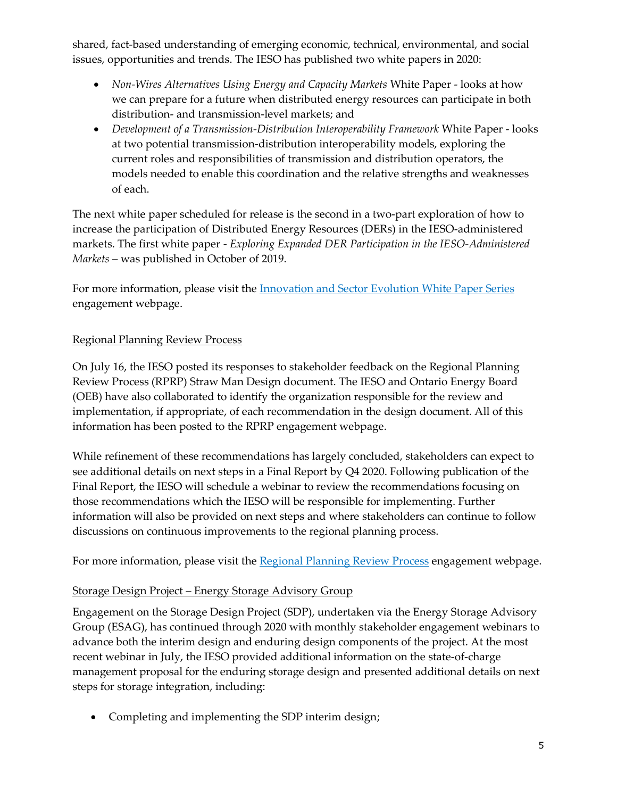shared, fact-based understanding of emerging economic, technical, environmental, and social issues, opportunities and trends. The IESO has published two white papers in 2020:

- *Non-Wires Alternatives Using Energy and Capacity Markets* White Paper looks at how we can prepare for a future when distributed energy resources can participate in both distribution- and transmission-level markets; and
- *Development of a Transmission-Distribution Interoperability Framework* White Paper looks at two potential transmission-distribution interoperability models, exploring the current roles and responsibilities of transmission and distribution operators, the models needed to enable this coordination and the relative strengths and weaknesses of each.

The next white paper scheduled for release is the second in a two-part exploration of how to increase the participation of Distributed Energy Resources (DERs) in the IESO-administered markets. The first white paper - *Exploring Expanded DER Participation in the IESO-Administered Markets* – was published in October of 2019.

For more information, please visit the [Innovation and Sector Evolution White Paper Series](http://www.ieso.ca/Sector-Participants/Engagement-Initiatives/Engagements/Innovation-and-Sector-Evolution-White-Paper-Series) engagement webpage.

### [Regional Planning Review Process](http://ieso.ca/Sector-Participants/Engagement-Initiatives/Engagements/Regional-Planning-Review-Process)

On July 16, the IESO posted its responses to stakeholder feedback on the Regional Planning Review Process (RPRP) Straw Man Design document. The IESO and Ontario Energy Board (OEB) have also collaborated to identify the organization responsible for the review and implementation, if appropriate, of each recommendation in the design document. All of this information has been posted to the RPRP engagement webpage.

While refinement of these recommendations has largely concluded, stakeholders can expect to see additional details on next steps in a Final Report by Q4 2020. Following publication of the Final Report, the IESO will schedule a webinar to review the recommendations focusing on those recommendations which the IESO will be responsible for implementing. Further information will also be provided on next steps and where stakeholders can continue to follow discussions on continuous improvements to the regional planning process.

For more information, please visit the [Regional Planning Review Process](http://www.ieso.ca/Sector-Participants/Engagement-Initiatives/Engagements/Regional-Planning-Review-Process) engagement webpage.

#### Storage Design Project – Energy Storage Advisory Group

Engagement on the Storage Design Project (SDP), undertaken via the Energy Storage Advisory Group (ESAG), has continued through 2020 with monthly stakeholder engagement webinars to advance both the interim design and enduring design components of the project. At the most recent webinar in July, the IESO provided additional information on the state-of-charge management proposal for the enduring storage design and presented additional details on next steps for storage integration, including:

Completing and implementing the SDP interim design;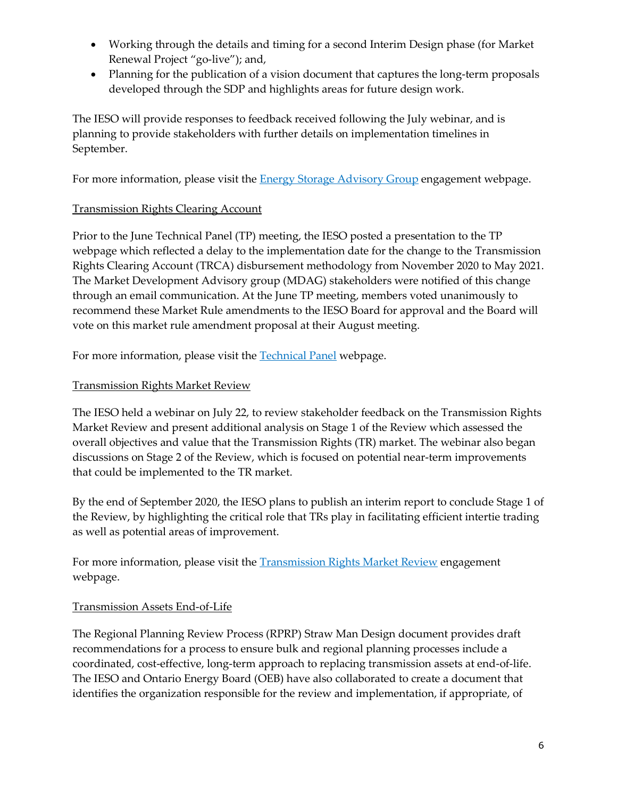- Working through the details and timing for a second Interim Design phase (for Market Renewal Project "go-live"); and,
- Planning for the publication of a vision document that captures the long-term proposals developed through the SDP and highlights areas for future design work.

The IESO will provide responses to feedback received following the July webinar, and is planning to provide stakeholders with further details on implementation timelines in September.

For more information, please visit the **Energy Storage Advisory Group** engagement webpage.

### [Transmission Rights Clearing Account](http://ieso.ca/Sector-Participants/Engagement-Initiatives/Engagements/Market-Development-Advisory-Group)

Prior to the June Technical Panel (TP) meeting, the IESO posted a presentation to the TP webpage which reflected a delay to the implementation date for the change to the Transmission Rights Clearing Account (TRCA) disbursement methodology from November 2020 to May 2021. The Market Development Advisory group (MDAG) stakeholders were notified of this change through an email communication. At the June TP meeting, members voted unanimously to recommend these Market Rule amendments to the IESO Board for approval and the Board will vote on this market rule amendment proposal at their August meeting.

For more information, please visit the [Technical Panel](http://www.ieso.ca/Sector-Participants/Engagement-Initiatives/Technical-Panel/Meetings-and-Materials) webpage.

### [Transmission Rights Market Review](http://ieso.ca/Sector-Participants/Engagement-Initiatives/Engagements/Transmission-Rights-Market-Review)

The IESO held a webinar on July 22, to review stakeholder feedback on the Transmission Rights Market Review and present additional analysis on Stage 1 of the Review which assessed the overall objectives and value that the Transmission Rights (TR) market. The webinar also began discussions on Stage 2 of the Review, which is focused on potential near-term improvements that could be implemented to the TR market.

By the end of September 2020, the IESO plans to publish an interim report to conclude Stage 1 of the Review, by highlighting the critical role that TRs play in facilitating efficient intertie trading as well as potential areas of improvement.

For more information, please visit the **Transmission Rights Market Review engagement** webpage.

#### [Transmission Assets End-of-Life](http://ieso.ca/Sector-Participants/Engagement-Initiatives/Engagements/Transmission-Asset-End-of-Life-Asset-Replacement-Information-Process)

The Regional Planning Review Process (RPRP) [Straw Man Design](http://ieso.ca/-/media/Files/IESO/Document-Library/engage/rpr/rppr-StrawManDesign-20200228.pdf?la=en) document provides draft recommendations for a process to ensure bulk and regional planning processes include a coordinated, cost-effective, long-term approach to replacing transmission assets at end-of-life. The IESO and Ontario Energy Board (OEB) have also collaborated to create a document that identifies the organization responsible for the review and implementation, if appropriate, of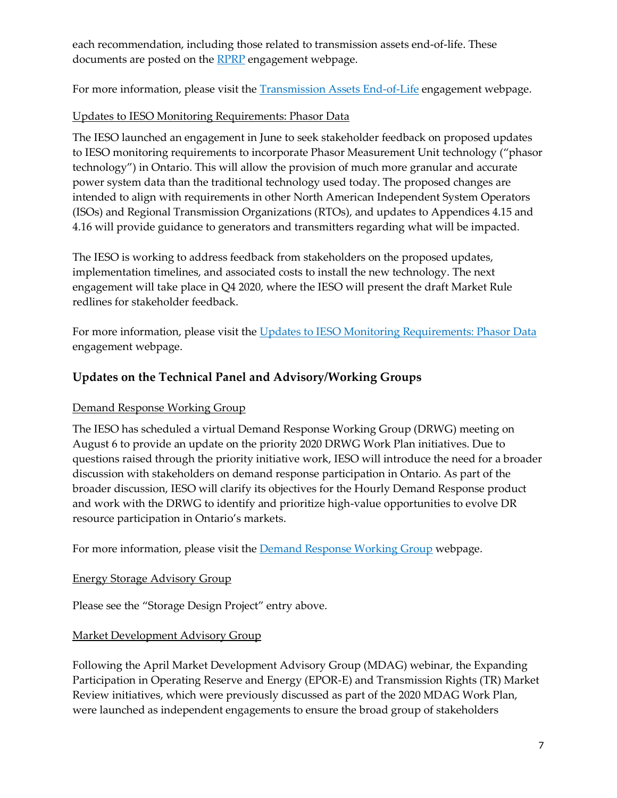each recommendation, including those related to transmission assets end-of-life. These documents are posted on the **RPRP** engagement webpage.

For more information, please visit the **Transmission Assets End-of-Life engagement** webpage.

## Updates to IESO Monitoring Requirements: Phasor Data

The IESO launched an engagement in June to seek stakeholder feedback on proposed updates to IESO monitoring requirements to incorporate Phasor Measurement Unit technology ("phasor technology") in Ontario. This will allow the provision of much more granular and accurate power system data than the traditional technology used today. The proposed changes are intended to align with requirements in other North American Independent System Operators (ISOs) and Regional Transmission Organizations (RTOs), and updates to Appendices 4.15 and 4.16 will provide guidance to generators and transmitters regarding what will be impacted.

The IESO is working to address feedback from stakeholders on the proposed updates, implementation timelines, and associated costs to install the new technology. The next engagement will take place in Q4 2020, where the IESO will present the draft Market Rule redlines for stakeholder feedback.

For more information, please visit the [Updates to IESO Monitoring Requirements: Phasor Data](http://www.ieso.ca/Sector-Participants/Engagement-Initiatives/Engagements/Updates-to-IESO-Monitoring-Requirements-Phasor-Data) engagement webpage.

## **Updates on the Technical Panel and Advisory/Working Groups**

#### [Demand Response Working Group](http://ieso.ca/Sector-Participants/Engagement-Initiatives/Working-Groups/Demand-Response-Working-Group)

The IESO has scheduled a virtual Demand Response Working Group (DRWG) meeting on August 6 to provide an update on the priority 2020 DRWG Work Plan initiatives. Due to questions raised through the priority initiative work, IESO will introduce the need for a broader discussion with stakeholders on demand response participation in Ontario. As part of the broader discussion, IESO will clarify its objectives for the Hourly Demand Response product and work with the DRWG to identify and prioritize high-value opportunities to evolve DR resource participation in Ontario's markets.

For more information, please visit the **Demand Response Working Group webpage.** 

#### Energy Storage Advisory Group

Please see the "Storage Design Project" entry above.

#### [Market Development Advisory Group](http://ieso.ca/Sector-Participants/Engagement-Initiatives/Engagements/Market-Development-Advisory-Group)

Following the April Market Development Advisory Group (MDAG) webinar, the Expanding Participation in Operating Reserve and Energy (EPOR-E) and Transmission Rights (TR) Market Review initiatives, which were previously discussed as part of the 2020 MDAG Work Plan, were launched as independent engagements to ensure the broad group of stakeholders